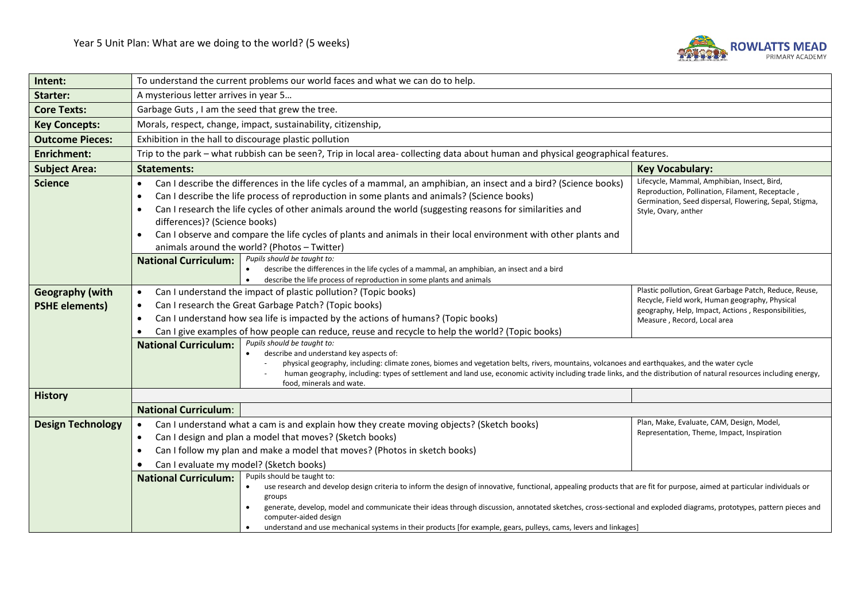

| Intent:                                         | To understand the current problems our world faces and what we can do to help.                                                                                                                                                                                                                                                                                                                                                                                                                                                                                                                                                                                                                     |                                                                                                                                      |  |  |
|-------------------------------------------------|----------------------------------------------------------------------------------------------------------------------------------------------------------------------------------------------------------------------------------------------------------------------------------------------------------------------------------------------------------------------------------------------------------------------------------------------------------------------------------------------------------------------------------------------------------------------------------------------------------------------------------------------------------------------------------------------------|--------------------------------------------------------------------------------------------------------------------------------------|--|--|
| <b>Starter:</b>                                 | A mysterious letter arrives in year 5                                                                                                                                                                                                                                                                                                                                                                                                                                                                                                                                                                                                                                                              |                                                                                                                                      |  |  |
| <b>Core Texts:</b>                              | Garbage Guts, I am the seed that grew the tree.                                                                                                                                                                                                                                                                                                                                                                                                                                                                                                                                                                                                                                                    |                                                                                                                                      |  |  |
| <b>Key Concepts:</b>                            | Morals, respect, change, impact, sustainability, citizenship,                                                                                                                                                                                                                                                                                                                                                                                                                                                                                                                                                                                                                                      |                                                                                                                                      |  |  |
| <b>Outcome Pieces:</b>                          | Exhibition in the hall to discourage plastic pollution                                                                                                                                                                                                                                                                                                                                                                                                                                                                                                                                                                                                                                             |                                                                                                                                      |  |  |
| <b>Enrichment:</b>                              | Trip to the park - what rubbish can be seen?, Trip in local area- collecting data about human and physical geographical features.                                                                                                                                                                                                                                                                                                                                                                                                                                                                                                                                                                  |                                                                                                                                      |  |  |
| <b>Subject Area:</b>                            | <b>Statements:</b>                                                                                                                                                                                                                                                                                                                                                                                                                                                                                                                                                                                                                                                                                 | <b>Key Vocabulary:</b>                                                                                                               |  |  |
| <b>Science</b>                                  | Lifecycle, Mammal, Amphibian, Insect, Bird,<br>Can I describe the differences in the life cycles of a mammal, an amphibian, an insect and a bird? (Science books)<br>$\bullet$<br>Reproduction, Pollination, Filament, Receptacle,<br>Can I describe the life process of reproduction in some plants and animals? (Science books)<br>$\bullet$<br>Germination, Seed dispersal, Flowering, Sepal, Stigma,<br>Can I research the life cycles of other animals around the world (suggesting reasons for similarities and<br>Style, Ovary, anther<br>differences)? (Science books)<br>Can I observe and compare the life cycles of plants and animals in their local environment with other plants and |                                                                                                                                      |  |  |
|                                                 | animals around the world? (Photos - Twitter)<br>Pupils should be taught to:<br><b>National Curriculum:</b><br>describe the differences in the life cycles of a mammal, an amphibian, an insect and a bird<br>describe the life process of reproduction in some plants and animals                                                                                                                                                                                                                                                                                                                                                                                                                  | Plastic pollution, Great Garbage Patch, Reduce, Reuse,                                                                               |  |  |
| <b>Geography (with</b><br><b>PSHE elements)</b> | Can I understand the impact of plastic pollution? (Topic books)<br>$\bullet$<br>Can I research the Great Garbage Patch? (Topic books)<br>$\bullet$<br>Can I understand how sea life is impacted by the actions of humans? (Topic books)<br>$\bullet$<br>Can I give examples of how people can reduce, reuse and recycle to help the world? (Topic books)                                                                                                                                                                                                                                                                                                                                           | Recycle, Field work, Human geography, Physical<br>geography, Help, Impact, Actions, Responsibilities,<br>Measure, Record, Local area |  |  |
|                                                 | Pupils should be taught to:<br><b>National Curriculum:</b><br>describe and understand key aspects of:<br>physical geography, including: climate zones, biomes and vegetation belts, rivers, mountains, volcanoes and earthquakes, and the water cycle<br>human geography, including: types of settlement and land use, economic activity including trade links, and the distribution of natural resources including energy,<br>food, minerals and wate.                                                                                                                                                                                                                                            |                                                                                                                                      |  |  |
| <b>History</b>                                  |                                                                                                                                                                                                                                                                                                                                                                                                                                                                                                                                                                                                                                                                                                    |                                                                                                                                      |  |  |
|                                                 | <b>National Curriculum:</b>                                                                                                                                                                                                                                                                                                                                                                                                                                                                                                                                                                                                                                                                        |                                                                                                                                      |  |  |
| <b>Design Technology</b>                        | Can I understand what a cam is and explain how they create moving objects? (Sketch books)<br>$\bullet$                                                                                                                                                                                                                                                                                                                                                                                                                                                                                                                                                                                             | Plan, Make, Evaluate, CAM, Design, Model,<br>Representation, Theme, Impact, Inspiration                                              |  |  |
|                                                 | Can I design and plan a model that moves? (Sketch books)<br>$\bullet$                                                                                                                                                                                                                                                                                                                                                                                                                                                                                                                                                                                                                              |                                                                                                                                      |  |  |
|                                                 | Can I follow my plan and make a model that moves? (Photos in sketch books)<br>$\bullet$                                                                                                                                                                                                                                                                                                                                                                                                                                                                                                                                                                                                            |                                                                                                                                      |  |  |
|                                                 | Can I evaluate my model? (Sketch books)                                                                                                                                                                                                                                                                                                                                                                                                                                                                                                                                                                                                                                                            |                                                                                                                                      |  |  |
|                                                 | Pupils should be taught to:<br><b>National Curriculum:</b><br>use research and develop design criteria to inform the design of innovative, functional, appealing products that are fit for purpose, aimed at particular individuals or<br>groups<br>generate, develop, model and communicate their ideas through discussion, annotated sketches, cross-sectional and exploded diagrams, prototypes, pattern pieces and<br>computer-aided design<br>understand and use mechanical systems in their products [for example, gears, pulleys, cams, levers and linkages]                                                                                                                                |                                                                                                                                      |  |  |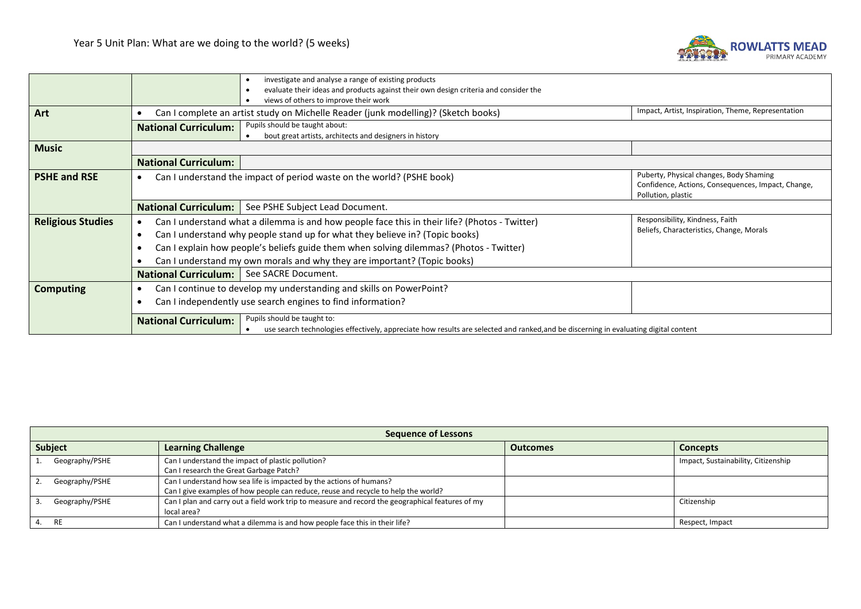

|                          |                                                                                                                                                  | investigate and analyse a range of existing products<br>$\bullet$                                                                    |                                         |  |
|--------------------------|--------------------------------------------------------------------------------------------------------------------------------------------------|--------------------------------------------------------------------------------------------------------------------------------------|-----------------------------------------|--|
|                          |                                                                                                                                                  | evaluate their ideas and products against their own design criteria and consider the<br>$\bullet$                                    |                                         |  |
|                          |                                                                                                                                                  | views of others to improve their work                                                                                                |                                         |  |
| Art                      | Impact, Artist, Inspiration, Theme, Representation<br>Can I complete an artist study on Michelle Reader (junk modelling)? (Sketch books)         |                                                                                                                                      |                                         |  |
|                          | <b>National Curriculum:</b>                                                                                                                      | Pupils should be taught about:                                                                                                       |                                         |  |
|                          | bout great artists, architects and designers in history<br>$\bullet$                                                                             |                                                                                                                                      |                                         |  |
| <b>Music</b>             |                                                                                                                                                  |                                                                                                                                      |                                         |  |
|                          | <b>National Curriculum:</b>                                                                                                                      |                                                                                                                                      |                                         |  |
| <b>PSHE and RSE</b>      | Can I understand the impact of period waste on the world? (PSHE book)<br>$\bullet$                                                               |                                                                                                                                      | Puberty, Physical changes, Body Shaming |  |
|                          | Confidence, Actions, Consequences, Impact, Change,                                                                                               |                                                                                                                                      |                                         |  |
|                          |                                                                                                                                                  |                                                                                                                                      | Pollution, plastic                      |  |
|                          | <b>National Curriculum:</b>                                                                                                                      | See PSHE Subject Lead Document.                                                                                                      |                                         |  |
| <b>Religious Studies</b> | Responsibility, Kindness, Faith<br>Can I understand what a dilemma is and how people face this in their life? (Photos - Twitter)<br>$\bullet$    |                                                                                                                                      |                                         |  |
|                          | Beliefs, Characteristics, Change, Morals<br>Can I understand why people stand up for what they believe in? (Topic books)<br>$\bullet$            |                                                                                                                                      |                                         |  |
|                          | Can I explain how people's beliefs guide them when solving dilemmas? (Photos - Twitter)<br>$\bullet$                                             |                                                                                                                                      |                                         |  |
|                          | Can I understand my own morals and why they are important? (Topic books)                                                                         |                                                                                                                                      |                                         |  |
|                          | <b>National Curriculum:</b> See SACRE Document.                                                                                                  |                                                                                                                                      |                                         |  |
| <b>Computing</b>         | Can I continue to develop my understanding and skills on PowerPoint?<br>$\bullet$<br>Can I independently use search engines to find information? |                                                                                                                                      |                                         |  |
|                          |                                                                                                                                                  |                                                                                                                                      |                                         |  |
|                          | Pupils should be taught to:                                                                                                                      |                                                                                                                                      |                                         |  |
|                          | <b>National Curriculum:</b>                                                                                                                      | use search technologies effectively, appreciate how results are selected and ranked, and be discerning in evaluating digital content |                                         |  |
|                          |                                                                                                                                                  |                                                                                                                                      |                                         |  |

| <b>Sequence of Lessons</b> |                                                                                                  |                 |                                     |  |  |
|----------------------------|--------------------------------------------------------------------------------------------------|-----------------|-------------------------------------|--|--|
| <b>Subject</b>             | <b>Learning Challenge</b>                                                                        | <b>Outcomes</b> | <b>Concepts</b>                     |  |  |
| Geography/PSHE             | Can I understand the impact of plastic pollution?                                                |                 | Impact, Sustainability, Citizenship |  |  |
|                            | Can I research the Great Garbage Patch?                                                          |                 |                                     |  |  |
| Geography/PSHE             | Can I understand how sea life is impacted by the actions of humans?                              |                 |                                     |  |  |
|                            | Can I give examples of how people can reduce, reuse and recycle to help the world?               |                 |                                     |  |  |
| Geography/PSHE             | Can I plan and carry out a field work trip to measure and record the geographical features of my |                 | Citizenship                         |  |  |
|                            | local area?                                                                                      |                 |                                     |  |  |
| RE.                        | Can I understand what a dilemma is and how people face this in their life?                       |                 | Respect, Impact                     |  |  |